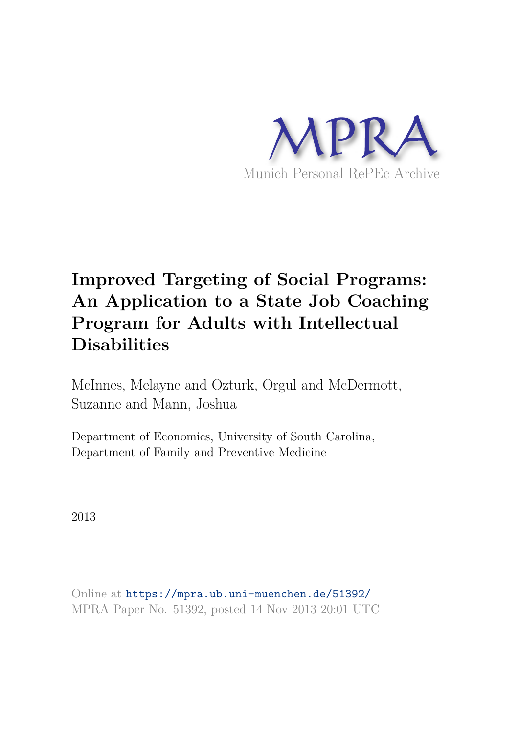

# **Improved Targeting of Social Programs: An Application to a State Job Coaching Program for Adults with Intellectual Disabilities**

McInnes, Melayne and Ozturk, Orgul and McDermott, Suzanne and Mann, Joshua

Department of Economics, University of South Carolina, Department of Family and Preventive Medicine

2013

Online at https://mpra.ub.uni-muenchen.de/51392/ MPRA Paper No. 51392, posted 14 Nov 2013 20:01 UTC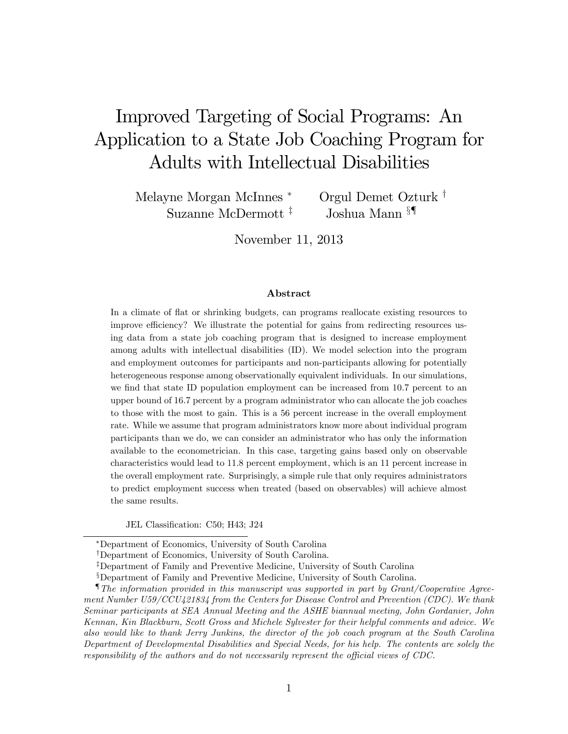## Improved Targeting of Social Programs: An Application to a State Job Coaching Program for Adults with Intellectual Disabilities

Melayne Morgan McInnes \* Orgul Demet Ozturk <sup>†</sup> Suzanne McDermott<sup> $\ddagger$ </sup> Joshua Mann<sup>§¶</sup>

November 11, 2013

#### Abstract

In a climate of áat or shrinking budgets, can programs reallocate existing resources to improve efficiency? We illustrate the potential for gains from redirecting resources using data from a state job coaching program that is designed to increase employment among adults with intellectual disabilities (ID). We model selection into the program and employment outcomes for participants and non-participants allowing for potentially heterogeneous response among observationally equivalent individuals. In our simulations, we find that state ID population employment can be increased from 10.7 percent to an upper bound of 16.7 percent by a program administrator who can allocate the job coaches to those with the most to gain. This is a 56 percent increase in the overall employment rate. While we assume that program administrators know more about individual program participants than we do, we can consider an administrator who has only the information available to the econometrician. In this case, targeting gains based only on observable characteristics would lead to 11.8 percent employment, which is an 11 percent increase in the overall employment rate. Surprisingly, a simple rule that only requires administrators to predict employment success when treated (based on observables) will achieve almost the same results.

JEL Classification: C50; H43; J24

Department of Economics, University of South Carolina

<sup>&</sup>lt;sup>†</sup>Department of Economics, University of South Carolina.

<sup>&</sup>lt;sup>‡</sup>Department of Family and Preventive Medicine, University of South Carolina

<sup>&</sup>lt;sup>§</sup>Department of Family and Preventive Medicine, University of South Carolina.

 $\P$ The information provided in this manuscript was supported in part by Grant/Cooperative Agreement Number U59/CCU421834 from the Centers for Disease Control and Prevention (CDC). We thank Seminar participants at SEA Annual Meeting and the ASHE biannual meeting, John Gordanier, John Kennan, Kin Blackburn, Scott Gross and Michele Sylvester for their helpful comments and advice. We also would like to thank Jerry Junkins, the director of the job coach program at the South Carolina Department of Developmental Disabilities and Special Needs, for his help. The contents are solely the responsibility of the authors and do not necessarily represent the official views of CDC.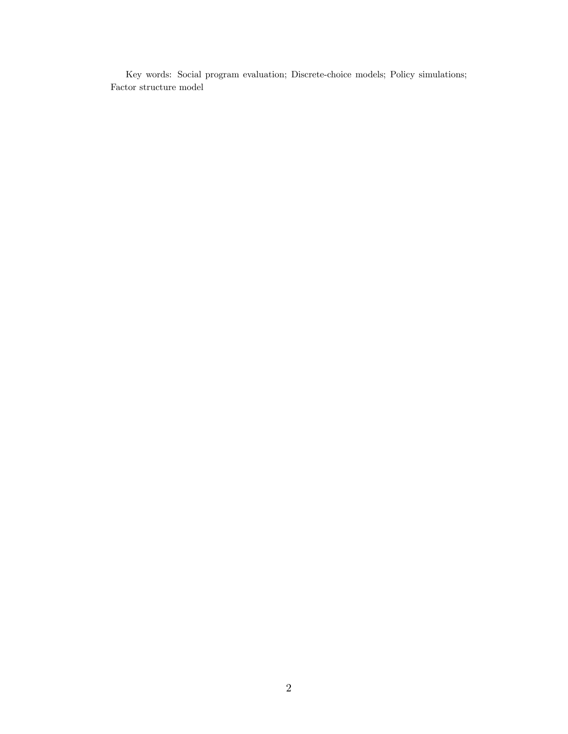Key words: Social program evaluation; Discrete-choice models; Policy simulations; Factor structure model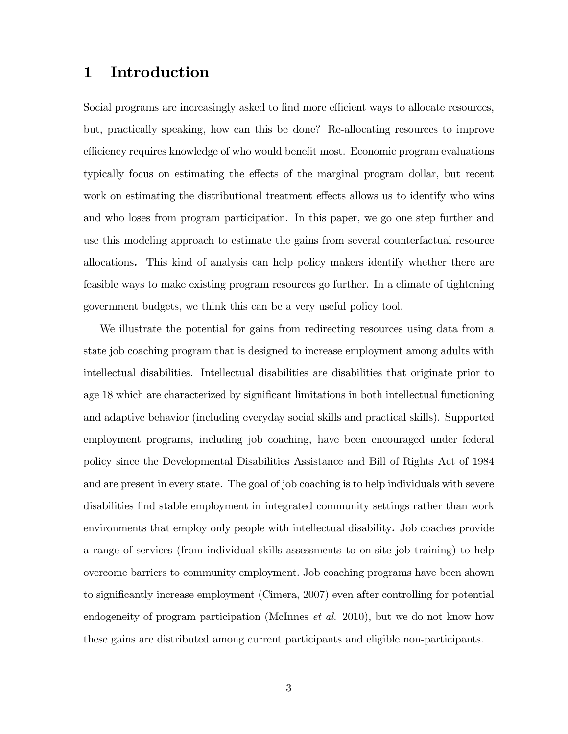## 1 Introduction

Social programs are increasingly asked to find more efficient ways to allocate resources, but, practically speaking, how can this be done? Re-allocating resources to improve efficiency requires knowledge of who would benefit most. Economic program evaluations typically focus on estimating the effects of the marginal program dollar, but recent work on estimating the distributional treatment effects allows us to identify who wins and who loses from program participation. In this paper, we go one step further and use this modeling approach to estimate the gains from several counterfactual resource allocations. This kind of analysis can help policy makers identify whether there are feasible ways to make existing program resources go further. In a climate of tightening government budgets, we think this can be a very useful policy tool.

We illustrate the potential for gains from redirecting resources using data from a state job coaching program that is designed to increase employment among adults with intellectual disabilities. Intellectual disabilities are disabilities that originate prior to age 18 which are characterized by significant limitations in both intellectual functioning and adaptive behavior (including everyday social skills and practical skills). Supported employment programs, including job coaching, have been encouraged under federal policy since the Developmental Disabilities Assistance and Bill of Rights Act of 1984 and are present in every state. The goal of job coaching is to help individuals with severe disabilities Önd stable employment in integrated community settings rather than work environments that employ only people with intellectual disability. Job coaches provide a range of services (from individual skills assessments to on-site job training) to help overcome barriers to community employment. Job coaching programs have been shown to significantly increase employment (Cimera, 2007) even after controlling for potential endogeneity of program participation (McInnes *et al.* 2010), but we do not know how these gains are distributed among current participants and eligible non-participants.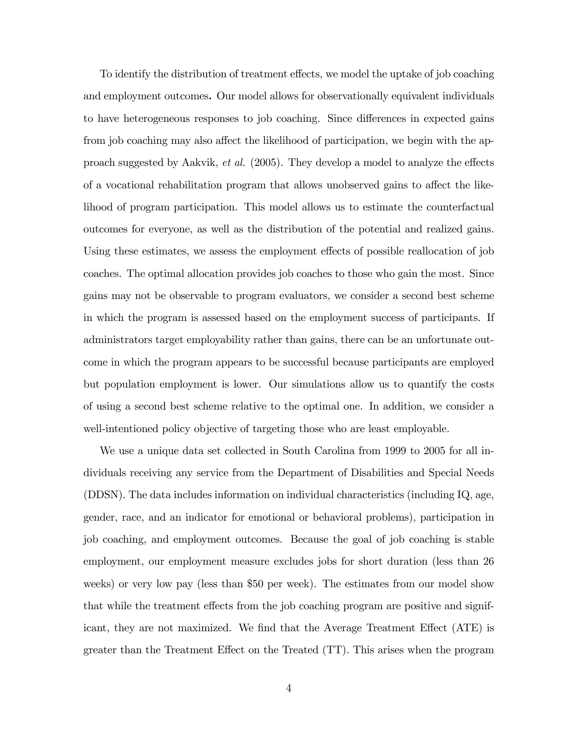To identify the distribution of treatment effects, we model the uptake of job coaching and employment outcomes. Our model allows for observationally equivalent individuals to have heterogeneous responses to job coaching. Since differences in expected gains from job coaching may also affect the likelihood of participation, we begin with the approach suggested by Aakvik, *et al.* (2005). They develop a model to analyze the effects of a vocational rehabilitation program that allows unobserved gains to affect the likelihood of program participation. This model allows us to estimate the counterfactual outcomes for everyone, as well as the distribution of the potential and realized gains. Using these estimates, we assess the employment effects of possible reallocation of job coaches. The optimal allocation provides job coaches to those who gain the most. Since gains may not be observable to program evaluators, we consider a second best scheme in which the program is assessed based on the employment success of participants. If administrators target employability rather than gains, there can be an unfortunate outcome in which the program appears to be successful because participants are employed but population employment is lower. Our simulations allow us to quantify the costs of using a second best scheme relative to the optimal one. In addition, we consider a well-intentioned policy objective of targeting those who are least employable.

We use a unique data set collected in South Carolina from 1999 to 2005 for all individuals receiving any service from the Department of Disabilities and Special Needs (DDSN). The data includes information on individual characteristics (including IQ, age, gender, race, and an indicator for emotional or behavioral problems), participation in job coaching, and employment outcomes. Because the goal of job coaching is stable employment, our employment measure excludes jobs for short duration (less than 26 weeks) or very low pay (less than \$50 per week). The estimates from our model show that while the treatment effects from the job coaching program are positive and significant, they are not maximized. We find that the Average Treatment Effect (ATE) is greater than the Treatment Effect on the Treated (TT). This arises when the program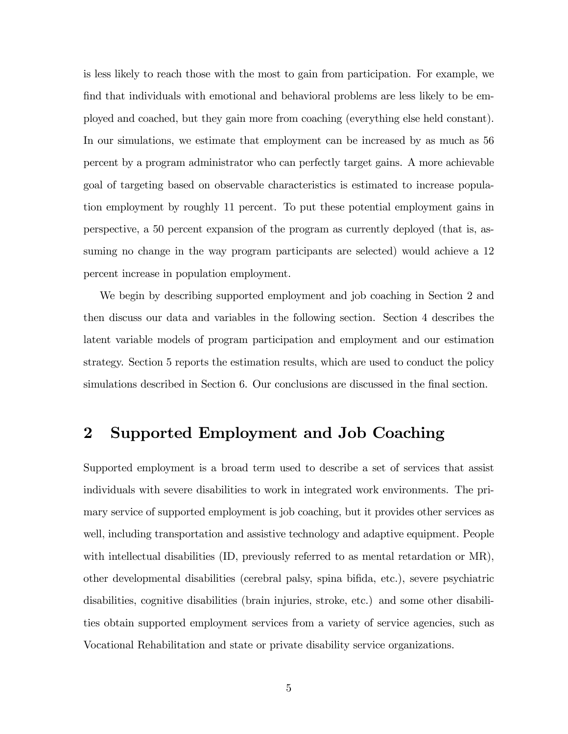is less likely to reach those with the most to gain from participation. For example, we find that individuals with emotional and behavioral problems are less likely to be employed and coached, but they gain more from coaching (everything else held constant). In our simulations, we estimate that employment can be increased by as much as 56 percent by a program administrator who can perfectly target gains. A more achievable goal of targeting based on observable characteristics is estimated to increase population employment by roughly 11 percent. To put these potential employment gains in perspective, a 50 percent expansion of the program as currently deployed (that is, assuming no change in the way program participants are selected) would achieve a 12 percent increase in population employment.

We begin by describing supported employment and job coaching in Section 2 and then discuss our data and variables in the following section. Section 4 describes the latent variable models of program participation and employment and our estimation strategy. Section 5 reports the estimation results, which are used to conduct the policy simulations described in Section 6. Our conclusions are discussed in the final section.

### 2 Supported Employment and Job Coaching

Supported employment is a broad term used to describe a set of services that assist individuals with severe disabilities to work in integrated work environments. The primary service of supported employment is job coaching, but it provides other services as well, including transportation and assistive technology and adaptive equipment. People with intellectual disabilities (ID, previously referred to as mental retardation or MR), other developmental disabilities (cerebral palsy, spina bifida, etc.), severe psychiatric disabilities, cognitive disabilities (brain injuries, stroke, etc.) and some other disabilities obtain supported employment services from a variety of service agencies, such as Vocational Rehabilitation and state or private disability service organizations.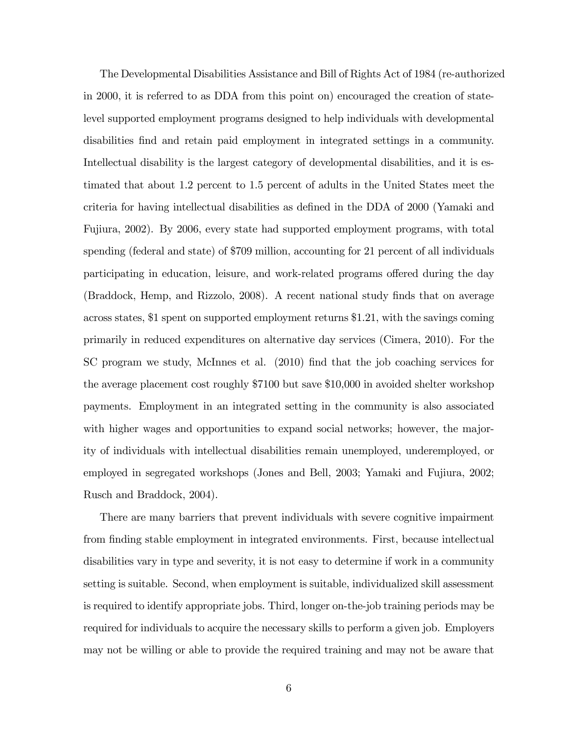The Developmental Disabilities Assistance and Bill of Rights Act of 1984 (re-authorized in 2000, it is referred to as DDA from this point on) encouraged the creation of statelevel supported employment programs designed to help individuals with developmental disabilities find and retain paid employment in integrated settings in a community. Intellectual disability is the largest category of developmental disabilities, and it is estimated that about 1.2 percent to 1.5 percent of adults in the United States meet the criteria for having intellectual disabilities as defined in the DDA of 2000 (Yamaki and Fujiura, 2002). By 2006, every state had supported employment programs, with total spending (federal and state) of \$709 million, accounting for 21 percent of all individuals participating in education, leisure, and work-related programs offered during the day (Braddock, Hemp, and Rizzolo, 2008). A recent national study Önds that on average across states, \$1 spent on supported employment returns \$1.21, with the savings coming primarily in reduced expenditures on alternative day services (Cimera, 2010). For the SC program we study, McInnes et al. (2010) find that the job coaching services for the average placement cost roughly \$7100 but save \$10,000 in avoided shelter workshop payments. Employment in an integrated setting in the community is also associated with higher wages and opportunities to expand social networks; however, the majority of individuals with intellectual disabilities remain unemployed, underemployed, or employed in segregated workshops (Jones and Bell, 2003; Yamaki and Fujiura, 2002; Rusch and Braddock, 2004).

There are many barriers that prevent individuals with severe cognitive impairment from finding stable employment in integrated environments. First, because intellectual disabilities vary in type and severity, it is not easy to determine if work in a community setting is suitable. Second, when employment is suitable, individualized skill assessment is required to identify appropriate jobs. Third, longer on-the-job training periods may be required for individuals to acquire the necessary skills to perform a given job. Employers may not be willing or able to provide the required training and may not be aware that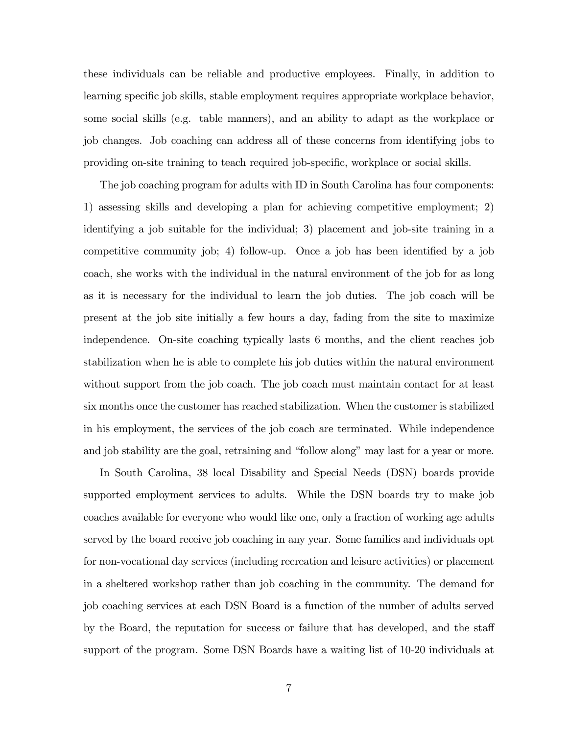these individuals can be reliable and productive employees. Finally, in addition to learning specific job skills, stable employment requires appropriate workplace behavior, some social skills (e.g. table manners), and an ability to adapt as the workplace or job changes. Job coaching can address all of these concerns from identifying jobs to providing on-site training to teach required job-specific, workplace or social skills.

The job coaching program for adults with ID in South Carolina has four components: 1) assessing skills and developing a plan for achieving competitive employment; 2) identifying a job suitable for the individual; 3) placement and job-site training in a competitive community job; 4) follow-up. Once a job has been identified by a job coach, she works with the individual in the natural environment of the job for as long as it is necessary for the individual to learn the job duties. The job coach will be present at the job site initially a few hours a day, fading from the site to maximize independence. On-site coaching typically lasts 6 months, and the client reaches job stabilization when he is able to complete his job duties within the natural environment without support from the job coach. The job coach must maintain contact for at least six months once the customer has reached stabilization. When the customer is stabilized in his employment, the services of the job coach are terminated. While independence and job stability are the goal, retraining and "follow along" may last for a year or more.

In South Carolina, 38 local Disability and Special Needs (DSN) boards provide supported employment services to adults. While the DSN boards try to make job coaches available for everyone who would like one, only a fraction of working age adults served by the board receive job coaching in any year. Some families and individuals opt for non-vocational day services (including recreation and leisure activities) or placement in a sheltered workshop rather than job coaching in the community. The demand for job coaching services at each DSN Board is a function of the number of adults served by the Board, the reputation for success or failure that has developed, and the staff support of the program. Some DSN Boards have a waiting list of 10-20 individuals at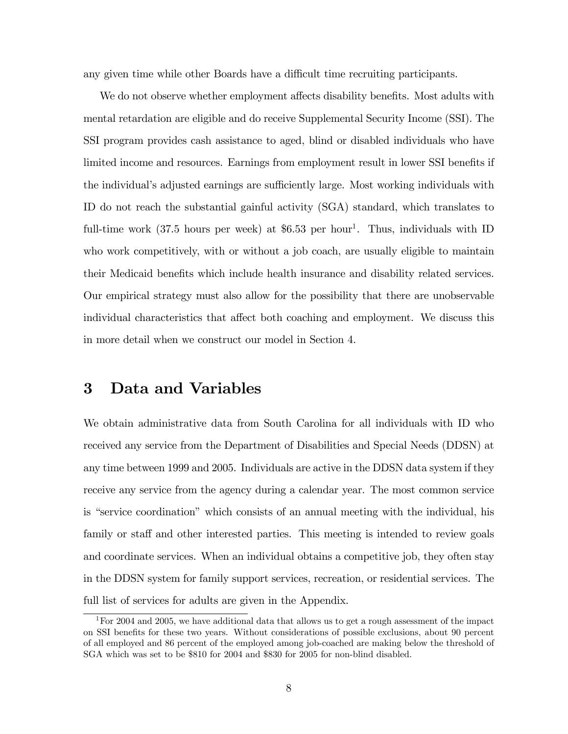any given time while other Boards have a difficult time recruiting participants.

We do not observe whether employment affects disability benefits. Most adults with mental retardation are eligible and do receive Supplemental Security Income (SSI). The SSI program provides cash assistance to aged, blind or disabled individuals who have limited income and resources. Earnings from employment result in lower SSI benefits if the individual's adjusted earnings are sufficiently large. Most working individuals with ID do not reach the substantial gainful activity (SGA) standard, which translates to full-time work  $(37.5 \text{ hours per week})$  at \$6.53 per hour<sup>1</sup>. Thus, individuals with ID who work competitively, with or without a job coach, are usually eligible to maintain their Medicaid benefits which include health insurance and disability related services. Our empirical strategy must also allow for the possibility that there are unobservable individual characteristics that affect both coaching and employment. We discuss this in more detail when we construct our model in Section 4.

## 3 Data and Variables

We obtain administrative data from South Carolina for all individuals with ID who received any service from the Department of Disabilities and Special Needs (DDSN) at any time between 1999 and 2005. Individuals are active in the DDSN data system if they receive any service from the agency during a calendar year. The most common service is "service coordination" which consists of an annual meeting with the individual, his family or staff and other interested parties. This meeting is intended to review goals and coordinate services. When an individual obtains a competitive job, they often stay in the DDSN system for family support services, recreation, or residential services. The full list of services for adults are given in the Appendix.

<sup>&</sup>lt;sup>1</sup>For 2004 and 2005, we have additional data that allows us to get a rough assessment of the impact on SSI benefits for these two years. Without considerations of possible exclusions, about 90 percent of all employed and 86 percent of the employed among job-coached are making below the threshold of SGA which was set to be \$810 for 2004 and \$830 for 2005 for non-blind disabled.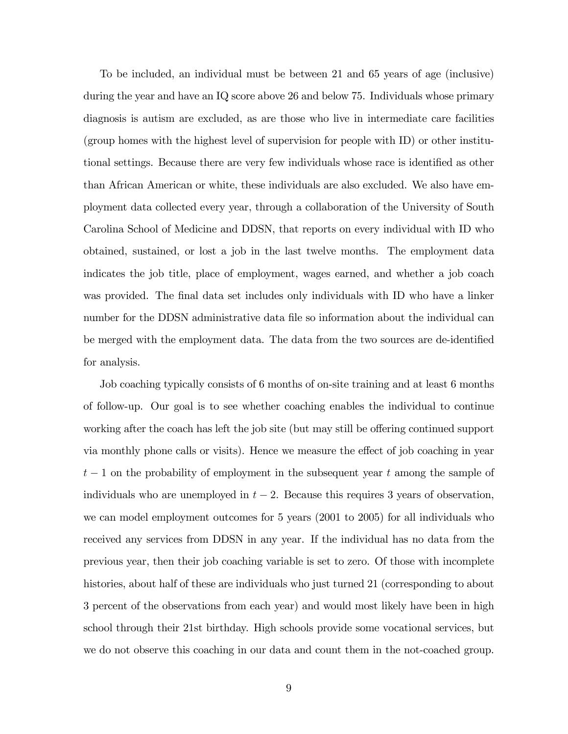To be included, an individual must be between 21 and 65 years of age (inclusive) during the year and have an IQ score above 26 and below 75. Individuals whose primary diagnosis is autism are excluded, as are those who live in intermediate care facilities (group homes with the highest level of supervision for people with ID) or other institutional settings. Because there are very few individuals whose race is identified as other than African American or white, these individuals are also excluded. We also have employment data collected every year, through a collaboration of the University of South Carolina School of Medicine and DDSN, that reports on every individual with ID who obtained, sustained, or lost a job in the last twelve months. The employment data indicates the job title, place of employment, wages earned, and whether a job coach was provided. The final data set includes only individuals with ID who have a linker number for the DDSN administrative data file so information about the individual can be merged with the employment data. The data from the two sources are de-identified for analysis.

Job coaching typically consists of 6 months of on-site training and at least 6 months of follow-up. Our goal is to see whether coaching enables the individual to continue working after the coach has left the job site (but may still be offering continued support via monthly phone calls or visits). Hence we measure the effect of job coaching in year  $t-1$  on the probability of employment in the subsequent year t among the sample of individuals who are unemployed in  $t - 2$ . Because this requires 3 years of observation, we can model employment outcomes for 5 years (2001 to 2005) for all individuals who received any services from DDSN in any year. If the individual has no data from the previous year, then their job coaching variable is set to zero. Of those with incomplete histories, about half of these are individuals who just turned 21 (corresponding to about 3 percent of the observations from each year) and would most likely have been in high school through their 21st birthday. High schools provide some vocational services, but we do not observe this coaching in our data and count them in the not-coached group.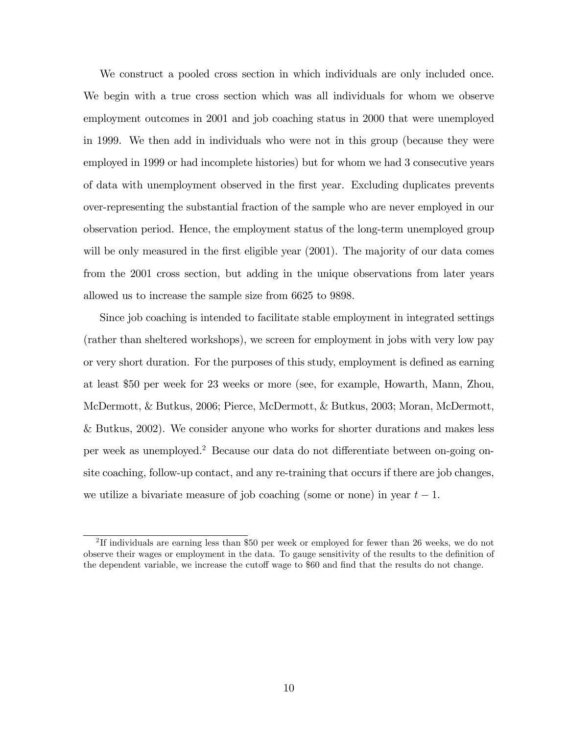We construct a pooled cross section in which individuals are only included once. We begin with a true cross section which was all individuals for whom we observe employment outcomes in 2001 and job coaching status in 2000 that were unemployed in 1999. We then add in individuals who were not in this group (because they were employed in 1999 or had incomplete histories) but for whom we had 3 consecutive years of data with unemployment observed in the Örst year. Excluding duplicates prevents over-representing the substantial fraction of the sample who are never employed in our observation period. Hence, the employment status of the long-term unemployed group will be only measured in the first eligible year (2001). The majority of our data comes from the 2001 cross section, but adding in the unique observations from later years allowed us to increase the sample size from 6625 to 9898.

Since job coaching is intended to facilitate stable employment in integrated settings (rather than sheltered workshops), we screen for employment in jobs with very low pay or very short duration. For the purposes of this study, employment is defined as earning at least \$50 per week for 23 weeks or more (see, for example, Howarth, Mann, Zhou, McDermott, & Butkus, 2006; Pierce, McDermott, & Butkus, 2003; Moran, McDermott, & Butkus, 2002). We consider anyone who works for shorter durations and makes less per week as unemployed.<sup>2</sup> Because our data do not differentiate between on-going onsite coaching, follow-up contact, and any re-training that occurs if there are job changes, we utilize a bivariate measure of job coaching (some or none) in year  $t - 1$ .

<sup>&</sup>lt;sup>2</sup>If individuals are earning less than \$50 per week or employed for fewer than 26 weeks, we do not observe their wages or employment in the data. To gauge sensitivity of the results to the definition of the dependent variable, we increase the cutoff wage to \$60 and find that the results do not change.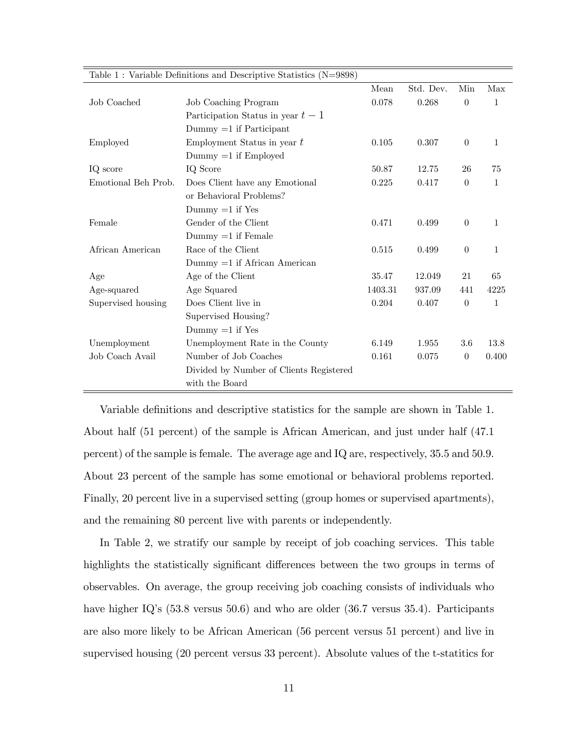| Table 1: Variable Definitions and Descriptive Statistics ( $N=9898$ ) |         |           |                  |              |
|-----------------------------------------------------------------------|---------|-----------|------------------|--------------|
|                                                                       | Mean    | Std. Dev. | Min              | Max          |
| <b>Job Coaching Program</b>                                           | 0.078   | 0.268     | $\theta$         | $\mathbf{1}$ |
| Participation Status in year $t-1$                                    |         |           |                  |              |
| $Dummy = 1$ if Participant                                            |         |           |                  |              |
| Employment Status in year $t$                                         | 0.105   | 0.307     | $\theta$         | 1            |
| $Dummy = 1$ if Employed                                               |         |           |                  |              |
| IQ Score                                                              | 50.87   | 12.75     | 26               | 75           |
| Does Client have any Emotional                                        | 0.225   | 0.417     | $\theta$         | $\mathbf{1}$ |
| or Behavioral Problems?                                               |         |           |                  |              |
| Dummy $=1$ if Yes                                                     |         |           |                  |              |
| Gender of the Client                                                  | 0.471   | 0.499     | $\theta$         | 1            |
| $Dummy = 1$ if Female                                                 |         |           |                  |              |
| Race of the Client                                                    | 0.515   | 0.499     | $\boldsymbol{0}$ | 1            |
| $Dummy = 1$ if African American                                       |         |           |                  |              |
| Age of the Client                                                     | 35.47   | 12.049    | 21               | 65           |
| Age Squared                                                           | 1403.31 | 937.09    | 441              | 4225         |
| Does Client live in                                                   | 0.204   | 0.407     | $\theta$         | $\mathbf{1}$ |
| Supervised Housing?                                                   |         |           |                  |              |
| Dummy $=1$ if Yes                                                     |         |           |                  |              |
| Unemployment Rate in the County                                       | 6.149   | 1.955     | 3.6              | 13.8         |
| Number of Job Coaches                                                 | 0.161   | 0.075     | $\theta$         | 0.400        |
| Divided by Number of Clients Registered                               |         |           |                  |              |
| with the Board                                                        |         |           |                  |              |
|                                                                       |         |           |                  |              |

Variable definitions and descriptive statistics for the sample are shown in Table 1. About half (51 percent) of the sample is African American, and just under half (47.1 percent) of the sample is female. The average age and IQ are, respectively, 35.5 and 50.9. About 23 percent of the sample has some emotional or behavioral problems reported. Finally, 20 percent live in a supervised setting (group homes or supervised apartments), and the remaining 80 percent live with parents or independently.

In Table 2, we stratify our sample by receipt of job coaching services. This table highlights the statistically significant differences between the two groups in terms of observables. On average, the group receiving job coaching consists of individuals who have higher IQ's (53.8 versus 50.6) and who are older (36.7 versus 35.4). Participants are also more likely to be African American (56 percent versus 51 percent) and live in supervised housing (20 percent versus 33 percent). Absolute values of the t-statitics for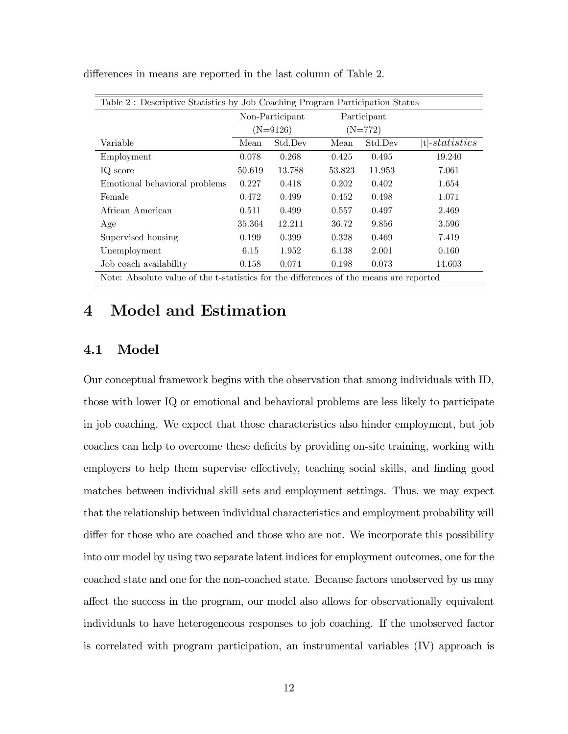| Table 2: Descriptive Statistics by Job Coaching Program Participation Status           |                 |         |             |         |                   |
|----------------------------------------------------------------------------------------|-----------------|---------|-------------|---------|-------------------|
|                                                                                        | Non-Participant |         | Participant |         |                   |
|                                                                                        | $(N=9126)$      |         | $(N=772)$   |         |                   |
| Variable                                                                               | Mean            | Std.Dev | Mean        | Std.Dev | $ t $ -statistics |
| Employment                                                                             | 0.078           | 0.268   | 0.425       | 0.495   | 19.240            |
| IQ score                                                                               | 50.619          | 13.788  | 53.823      | 11.953  | 7.061             |
| Emotional behavioral problems                                                          | 0.227           | 0.418   | 0.202       | 0.402   | 1.654             |
| Female                                                                                 | 0.472           | 0.499   | 0.452       | 0.498   | 1.071             |
| African American                                                                       | 0.511           | 0.499   | 0.557       | 0.497   | 2.469             |
| Age                                                                                    | 35.364          | 12.211  | 36.72       | 9.856   | 3.596             |
| Supervised housing                                                                     | 0.199           | 0.399   | 0.328       | 0.469   | 7.419             |
| Unemployment                                                                           | 6.15            | 1.952   | 6.138       | 2.001   | 0.160             |
| Job coach availability                                                                 | 0.158           | 0.074   | 0.198       | 0.073   | 14.603            |
| Note: Absolute value of the t-statistics for the differences of the means are reported |                 |         |             |         |                   |

differences in means are reported in the last column of Table 2.

## 4 Model and Estimation

#### 4.1 Model

Our conceptual framework begins with the observation that among individuals with ID, those with lower IQ or emotional and behavioral problems are less likely to participate in job coaching. We expect that those characteristics also hinder employment, but job coaches can help to overcome these deficits by providing on-site training, working with employers to help them supervise effectively, teaching social skills, and finding good matches between individual skill sets and employment settings. Thus, we may expect that the relationship between individual characteristics and employment probability will differ for those who are coached and those who are not. We incorporate this possibility into our model by using two separate latent indices for employment outcomes, one for the coached state and one for the non-coached state. Because factors unobserved by us may a§ect the success in the program, our model also allows for observationally equivalent individuals to have heterogeneous responses to job coaching. If the unobserved factor is correlated with program participation, an instrumental variables (IV) approach is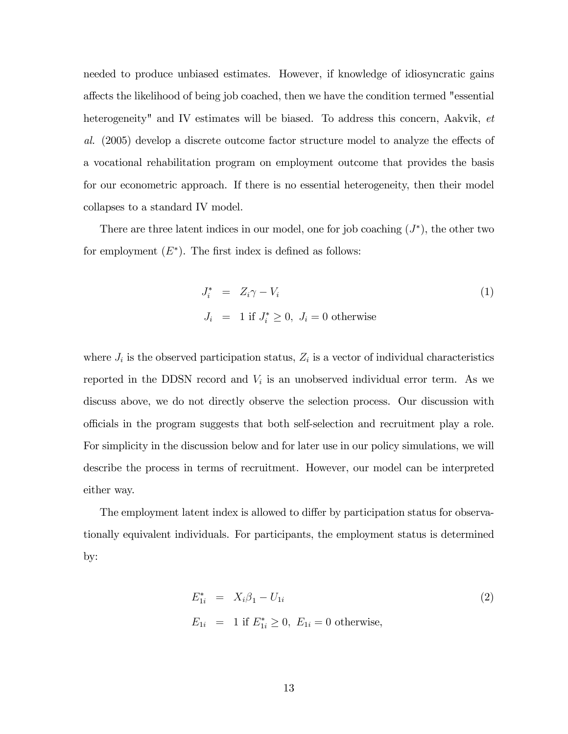needed to produce unbiased estimates. However, if knowledge of idiosyncratic gains affects the likelihood of being job coached, then we have the condition termed "essential heterogeneity" and IV estimates will be biased. To address this concern, Aakvik, et  $al.$  (2005) develop a discrete outcome factor structure model to analyze the effects of a vocational rehabilitation program on employment outcome that provides the basis for our econometric approach. If there is no essential heterogeneity, then their model collapses to a standard IV model.

There are three latent indices in our model, one for job coaching  $(J^*)$ , the other two for employment  $(E^*)$ . The first index is defined as follows:

$$
J_i^* = Z_i \gamma - V_i
$$
  
\n
$$
J_i = 1 \text{ if } J_i^* \geq 0, J_i = 0 \text{ otherwise}
$$
\n(1)

where  $J_i$  is the observed participation status,  $Z_i$  is a vector of individual characteristics reported in the DDSN record and  $V_i$  is an unobserved individual error term. As we discuss above, we do not directly observe the selection process. Our discussion with o¢cials in the program suggests that both self-selection and recruitment play a role. For simplicity in the discussion below and for later use in our policy simulations, we will describe the process in terms of recruitment. However, our model can be interpreted either way.

The employment latent index is allowed to differ by participation status for observationally equivalent individuals. For participants, the employment status is determined by:

$$
E_{1i}^{*} = X_{i}\beta_{1} - U_{1i}
$$
  
\n
$$
E_{1i} = 1 \text{ if } E_{1i}^{*} \ge 0, E_{1i} = 0 \text{ otherwise,}
$$
\n(2)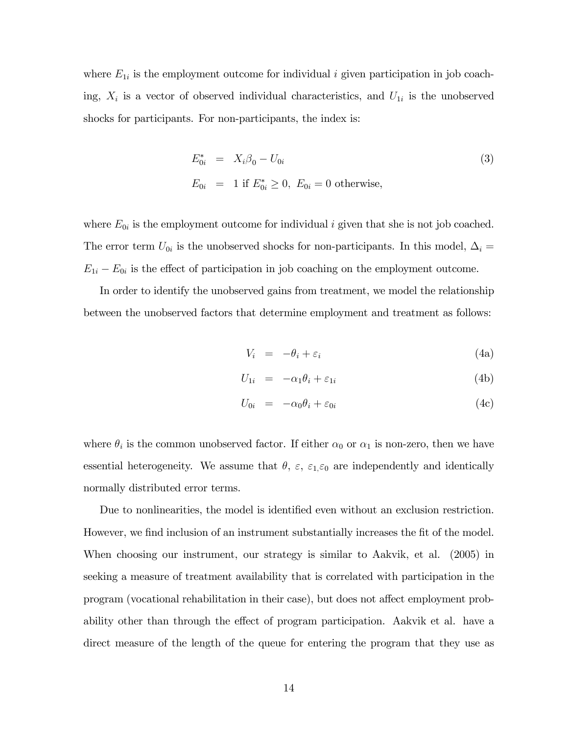where  $E_{1i}$  is the employment outcome for individual i given participation in job coaching,  $X_i$  is a vector of observed individual characteristics, and  $U_{1i}$  is the unobserved shocks for participants. For non-participants, the index is:

$$
E_{0i}^* = X_i \beta_0 - U_{0i}
$$
  
\n
$$
E_{0i} = 1 \text{ if } E_{0i}^* \ge 0, E_{0i} = 0 \text{ otherwise,}
$$
\n(3)

where  $E_{0i}$  is the employment outcome for individual i given that she is not job coached. The error term  $U_{0i}$  is the unobserved shocks for non-participants. In this model,  $\Delta_i =$  $E_{1i} - E_{0i}$  is the effect of participation in job coaching on the employment outcome.

In order to identify the unobserved gains from treatment, we model the relationship between the unobserved factors that determine employment and treatment as follows:

$$
V_i = -\theta_i + \varepsilon_i \tag{4a}
$$

$$
U_{1i} = -\alpha_1 \theta_i + \varepsilon_{1i} \tag{4b}
$$

$$
U_{0i} = -\alpha_0 \theta_i + \varepsilon_{0i} \tag{4c}
$$

where  $\theta_i$  is the common unobserved factor. If either  $\alpha_0$  or  $\alpha_1$  is non-zero, then we have essential heterogeneity. We assume that  $\theta$ ,  $\varepsilon$ ,  $\varepsilon_1$ ,  $\varepsilon_0$  are independently and identically normally distributed error terms.

Due to nonlinearities, the model is identified even without an exclusion restriction. However, we find inclusion of an instrument substantially increases the fit of the model. When choosing our instrument, our strategy is similar to Aakvik, et al. (2005) in seeking a measure of treatment availability that is correlated with participation in the program (vocational rehabilitation in their case), but does not affect employment probability other than through the effect of program participation. Aakvik et al. have a direct measure of the length of the queue for entering the program that they use as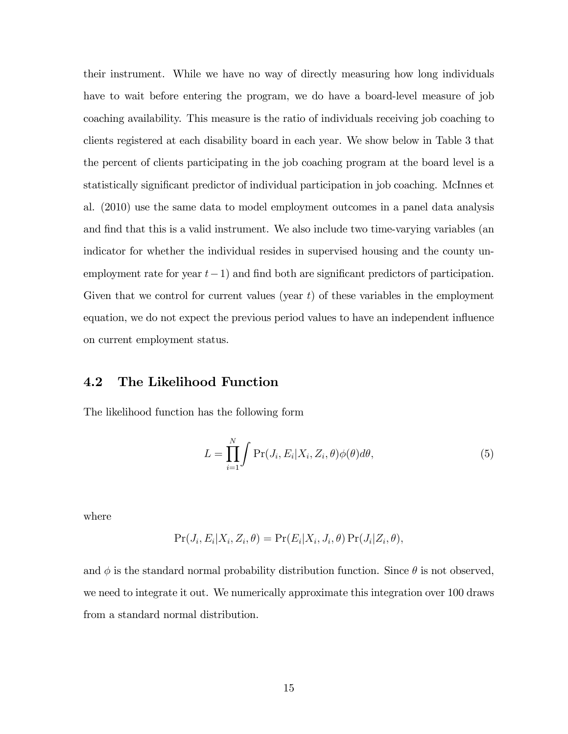their instrument. While we have no way of directly measuring how long individuals have to wait before entering the program, we do have a board-level measure of job coaching availability. This measure is the ratio of individuals receiving job coaching to clients registered at each disability board in each year. We show below in Table 3 that the percent of clients participating in the job coaching program at the board level is a statistically significant predictor of individual participation in job coaching. McInnes et al. (2010) use the same data to model employment outcomes in a panel data analysis and find that this is a valid instrument. We also include two time-varying variables (an indicator for whether the individual resides in supervised housing and the county unemployment rate for year  $t-1$ ) and find both are significant predictors of participation. Given that we control for current values (year  $t$ ) of these variables in the employment equation, we do not expect the previous period values to have an independent ináuence on current employment status.

#### 4.2 The Likelihood Function

The likelihood function has the following form

$$
L = \prod_{i=1}^{N} \int \Pr(J_i, E_i | X_i, Z_i, \theta) \phi(\theta) d\theta,
$$
\n(5)

where

$$
Pr(J_i, E_i | X_i, Z_i, \theta) = Pr(E_i | X_i, J_i, \theta) Pr(J_i | Z_i, \theta),
$$

and  $\phi$  is the standard normal probability distribution function. Since  $\theta$  is not observed, we need to integrate it out. We numerically approximate this integration over 100 draws from a standard normal distribution.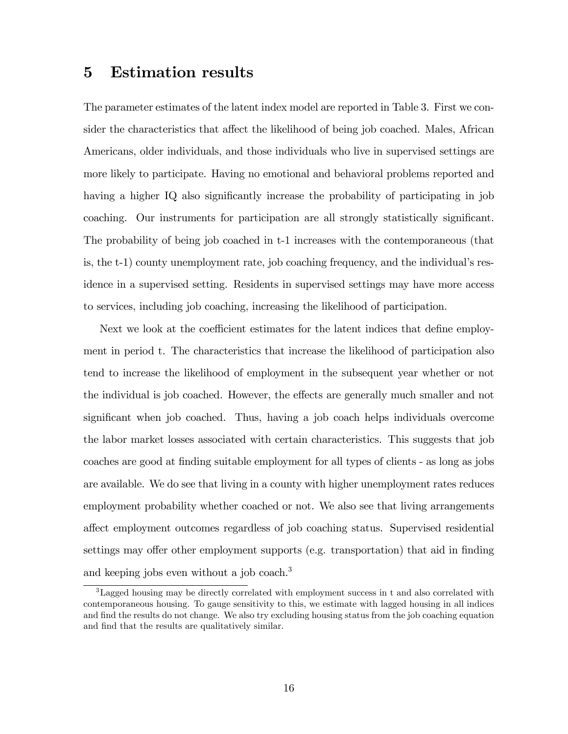## 5 Estimation results

The parameter estimates of the latent index model are reported in Table 3. First we consider the characteristics that affect the likelihood of being job coached. Males, African Americans, older individuals, and those individuals who live in supervised settings are more likely to participate. Having no emotional and behavioral problems reported and having a higher IQ also significantly increase the probability of participating in job coaching. Our instruments for participation are all strongly statistically significant. The probability of being job coached in t-1 increases with the contemporaneous (that is, the t-1) county unemployment rate, job coaching frequency, and the individual's residence in a supervised setting. Residents in supervised settings may have more access to services, including job coaching, increasing the likelihood of participation.

Next we look at the coefficient estimates for the latent indices that define employment in period t. The characteristics that increase the likelihood of participation also tend to increase the likelihood of employment in the subsequent year whether or not the individual is job coached. However, the effects are generally much smaller and not significant when job coached. Thus, having a job coach helps individuals overcome the labor market losses associated with certain characteristics. This suggests that job coaches are good at finding suitable employment for all types of clients - as long as jobs are available. We do see that living in a county with higher unemployment rates reduces employment probability whether coached or not. We also see that living arrangements a§ect employment outcomes regardless of job coaching status. Supervised residential settings may offer other employment supports (e.g. transportation) that aid in finding and keeping jobs even without a job coach.<sup>3</sup>

<sup>&</sup>lt;sup>3</sup>Lagged housing may be directly correlated with employment success in t and also correlated with contemporaneous housing. To gauge sensitivity to this, we estimate with lagged housing in all indices and find the results do not change. We also try excluding housing status from the job coaching equation and find that the results are qualitatively similar.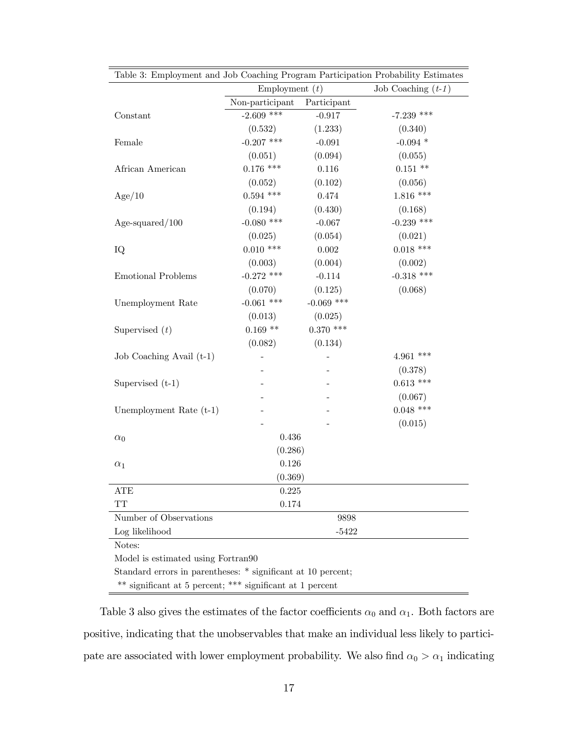| Table 3: Employment and Job Coaching Program Participation Probability Estimates |                  |              |                      |
|----------------------------------------------------------------------------------|------------------|--------------|----------------------|
|                                                                                  | Employment $(t)$ |              | Job Coaching $(t-1)$ |
|                                                                                  | Non-participant  | Participant  |                      |
| Constant                                                                         | $-2.609$ ***     | $-0.917$     | $-7.239$ ***         |
|                                                                                  | (0.532)          | (1.233)      | (0.340)              |
| Female                                                                           | $-0.207$ ***     | $-0.091$     | $-0.094$ *           |
|                                                                                  | (0.051)          | (0.094)      | (0.055)              |
| African American                                                                 | $0.176$ ***      | 0.116        | $0.151$ **           |
|                                                                                  | (0.052)          | (0.102)      | (0.056)              |
| Age/10                                                                           | $0.594$ ***      | 0.474        | $1.816$ ***          |
|                                                                                  | (0.194)          | (0.430)      | (0.168)              |
| Age-squared/100                                                                  | $-0.080$ ***     | $-0.067$     | $-0.239$ ***         |
|                                                                                  | (0.025)          | (0.054)      | (0.021)              |
| IQ                                                                               | $0.010$ ***      | $0.002\,$    | $0.018$ ***          |
|                                                                                  | (0.003)          | (0.004)      | (0.002)              |
| <b>Emotional Problems</b>                                                        | $-0.272$ ***     | $-0.114$     | $-0.318$ ***         |
|                                                                                  | (0.070)          | (0.125)      | (0.068)              |
| Unemployment Rate                                                                | $-0.061$ ***     | $-0.069$ *** |                      |
|                                                                                  | (0.013)          | (0.025)      |                      |
| Supervised $(t)$                                                                 | $0.169$ **       | $0.370$ ***  |                      |
|                                                                                  | (0.082)          | (0.134)      |                      |
| Job Coaching Avail $(t-1)$                                                       |                  |              | $4.961$ ***          |
|                                                                                  |                  |              | (0.378)              |
| Supervised $(t-1)$                                                               |                  |              | $0.613$ ***          |
|                                                                                  |                  |              | (0.067)              |
| Unemployment Rate $(t-1)$                                                        |                  |              | $0.048$ ***          |
|                                                                                  |                  |              | (0.015)              |
| $\alpha_0$                                                                       | $0.436\,$        |              |                      |
|                                                                                  | (0.286)          |              |                      |
| $\alpha_1$                                                                       | $0.126\,$        |              |                      |
|                                                                                  | (0.369)          |              |                      |
| ATE                                                                              | 0.225            |              |                      |
| TT                                                                               | 0.174            |              |                      |
| Number of Observations                                                           | 9898             |              |                      |
| Log likelihood                                                                   | $-5422$          |              |                      |
| Notes:                                                                           |                  |              |                      |
| Model is estimated using Fortran90                                               |                  |              |                      |
| Standard errors in parentheses: * significant at 10 percent;                     |                  |              |                      |
|                                                                                  |                  |              |                      |

 $^{**}$  significant at 5 percent;  $^{***}$  significant at 1 percent

Table 3 also gives the estimates of the factor coefficients  $\alpha_0$  and  $\alpha_1$ . Both factors are positive, indicating that the unobservables that make an individual less likely to participate are associated with lower employment probability. We also find  $\alpha_0 > \alpha_1$  indicating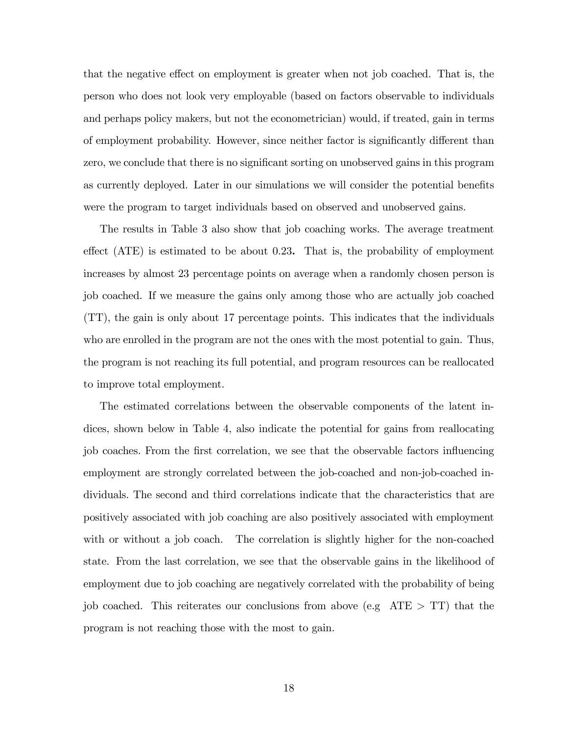that the negative effect on employment is greater when not job coached. That is, the person who does not look very employable (based on factors observable to individuals and perhaps policy makers, but not the econometrician) would, if treated, gain in terms of employment probability. However, since neither factor is significantly different than zero, we conclude that there is no significant sorting on unobserved gains in this program as currently deployed. Later in our simulations we will consider the potential benefits were the program to target individuals based on observed and unobserved gains.

The results in Table 3 also show that job coaching works. The average treatment effect (ATE) is estimated to be about 0.23. That is, the probability of employment increases by almost 23 percentage points on average when a randomly chosen person is job coached. If we measure the gains only among those who are actually job coached (TT), the gain is only about 17 percentage points. This indicates that the individuals who are enrolled in the program are not the ones with the most potential to gain. Thus, the program is not reaching its full potential, and program resources can be reallocated to improve total employment.

The estimated correlations between the observable components of the latent indices, shown below in Table 4, also indicate the potential for gains from reallocating job coaches. From the first correlation, we see that the observable factors influencing employment are strongly correlated between the job-coached and non-job-coached individuals. The second and third correlations indicate that the characteristics that are positively associated with job coaching are also positively associated with employment with or without a job coach. The correlation is slightly higher for the non-coached state. From the last correlation, we see that the observable gains in the likelihood of employment due to job coaching are negatively correlated with the probability of being job coached. This reiterates our conclusions from above (e.g ATE > TT) that the program is not reaching those with the most to gain.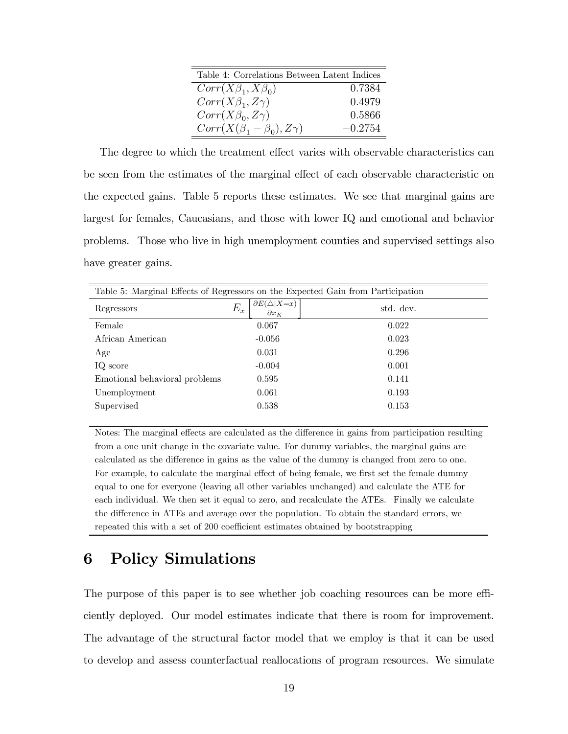| Table 4: Correlations Between Latent Indices |           |
|----------------------------------------------|-----------|
| $Corr(X\beta_1, X\beta_0)$                   | 0.7384    |
| $Corr(X\beta_1, Z\gamma)$                    | 0.4979    |
| $Corr(X\beta_0, Z\gamma)$                    | 0.5866    |
| $Corr(X(\beta_1 - \beta_0), Z\gamma)$        | $-0.2754$ |

The degree to which the treatment effect varies with observable characteristics can be seen from the estimates of the marginal effect of each observable characteristic on the expected gains. Table 5 reports these estimates. We see that marginal gains are largest for females, Caucasians, and those with lower IQ and emotional and behavior problems. Those who live in high unemployment counties and supervised settings also have greater gains.

| Table 5: Marginal Effects of Regressors on the Expected Gain from Participation |                                                        |           |  |  |
|---------------------------------------------------------------------------------|--------------------------------------------------------|-----------|--|--|
| Regressors                                                                      | $\partial E(\triangle X=x)$<br>$E_x$<br>$\partial x_K$ | std. dev. |  |  |
| Female                                                                          | 0.067                                                  | 0.022     |  |  |
| African American                                                                | $-0.056$                                               | 0.023     |  |  |
| Age                                                                             | 0.031                                                  | 0.296     |  |  |
| IQ score                                                                        | $-0.004$                                               | 0.001     |  |  |
| Emotional behavioral problems                                                   | 0.595                                                  | 0.141     |  |  |
| Unemployment                                                                    | 0.061                                                  | 0.193     |  |  |
| Supervised                                                                      | 0.538                                                  | 0.153     |  |  |

Notes: The marginal effects are calculated as the difference in gains from participation resulting from a one unit change in the covariate value. For dummy variables, the marginal gains are calculated as the difference in gains as the value of the dummy is changed from zero to one. For example, to calculate the marginal effect of being female, we first set the female dummy equal to one for everyone (leaving all other variables unchanged) and calculate the ATE for each individual. We then set it equal to zero, and recalculate the ATEs. Finally we calculate the difference in ATEs and average over the population. To obtain the standard errors, we repeated this with a set of 200 coefficient estimates obtained by bootstrapping

## 6 Policy Simulations

The purpose of this paper is to see whether job coaching resources can be more efficiently deployed. Our model estimates indicate that there is room for improvement. The advantage of the structural factor model that we employ is that it can be used to develop and assess counterfactual reallocations of program resources. We simulate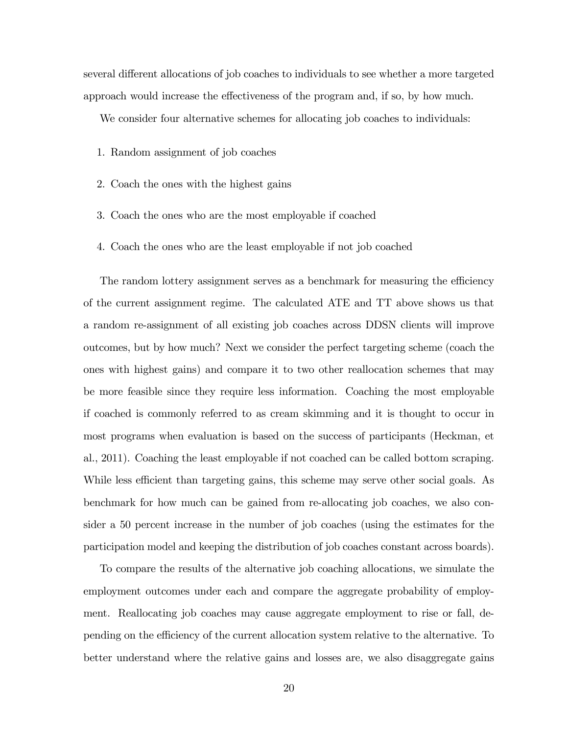several different allocations of job coaches to individuals to see whether a more targeted approach would increase the effectiveness of the program and, if so, by how much.

We consider four alternative schemes for allocating job coaches to individuals:

- 1. Random assignment of job coaches
- 2. Coach the ones with the highest gains
- 3. Coach the ones who are the most employable if coached
- 4. Coach the ones who are the least employable if not job coached

The random lottery assignment serves as a benchmark for measuring the efficiency of the current assignment regime. The calculated ATE and TT above shows us that a random re-assignment of all existing job coaches across DDSN clients will improve outcomes, but by how much? Next we consider the perfect targeting scheme (coach the ones with highest gains) and compare it to two other reallocation schemes that may be more feasible since they require less information. Coaching the most employable if coached is commonly referred to as cream skimming and it is thought to occur in most programs when evaluation is based on the success of participants (Heckman, et al., 2011). Coaching the least employable if not coached can be called bottom scraping. While less efficient than targeting gains, this scheme may serve other social goals. As benchmark for how much can be gained from re-allocating job coaches, we also consider a 50 percent increase in the number of job coaches (using the estimates for the participation model and keeping the distribution of job coaches constant across boards).

To compare the results of the alternative job coaching allocations, we simulate the employment outcomes under each and compare the aggregate probability of employment. Reallocating job coaches may cause aggregate employment to rise or fall, depending on the efficiency of the current allocation system relative to the alternative. To better understand where the relative gains and losses are, we also disaggregate gains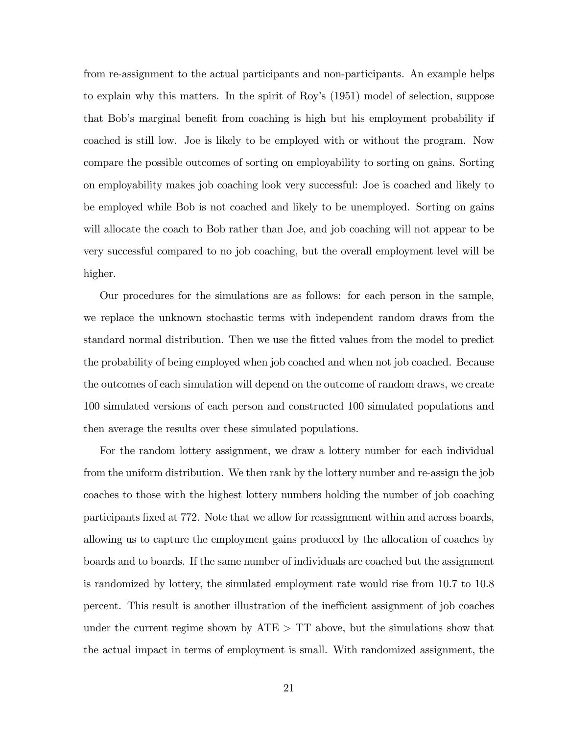from re-assignment to the actual participants and non-participants. An example helps to explain why this matters. In the spirit of Roy's (1951) model of selection, suppose that Bob's marginal benefit from coaching is high but his employment probability if coached is still low. Joe is likely to be employed with or without the program. Now compare the possible outcomes of sorting on employability to sorting on gains. Sorting on employability makes job coaching look very successful: Joe is coached and likely to be employed while Bob is not coached and likely to be unemployed. Sorting on gains will allocate the coach to Bob rather than Joe, and job coaching will not appear to be very successful compared to no job coaching, but the overall employment level will be higher.

Our procedures for the simulations are as follows: for each person in the sample, we replace the unknown stochastic terms with independent random draws from the standard normal distribution. Then we use the Ötted values from the model to predict the probability of being employed when job coached and when not job coached. Because the outcomes of each simulation will depend on the outcome of random draws, we create 100 simulated versions of each person and constructed 100 simulated populations and then average the results over these simulated populations.

For the random lottery assignment, we draw a lottery number for each individual from the uniform distribution. We then rank by the lottery number and re-assign the job coaches to those with the highest lottery numbers holding the number of job coaching participants fixed at 772. Note that we allow for reassignment within and across boards, allowing us to capture the employment gains produced by the allocation of coaches by boards and to boards. If the same number of individuals are coached but the assignment is randomized by lottery, the simulated employment rate would rise from 10.7 to 10.8 percent. This result is another illustration of the inefficient assignment of job coaches under the current regime shown by  $ATE > TT$  above, but the simulations show that the actual impact in terms of employment is small. With randomized assignment, the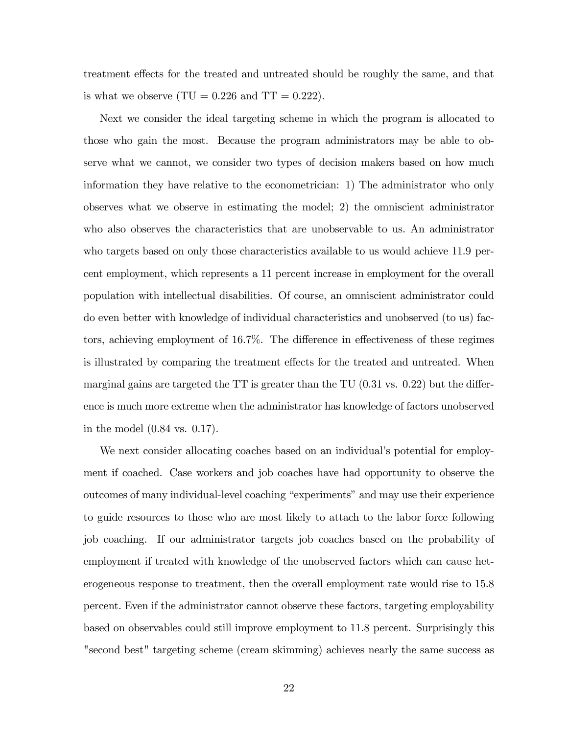treatment effects for the treated and untreated should be roughly the same, and that is what we observe  $(TU = 0.226$  and  $TT = 0.222$ .

Next we consider the ideal targeting scheme in which the program is allocated to those who gain the most. Because the program administrators may be able to observe what we cannot, we consider two types of decision makers based on how much information they have relative to the econometrician: 1) The administrator who only observes what we observe in estimating the model; 2) the omniscient administrator who also observes the characteristics that are unobservable to us. An administrator who targets based on only those characteristics available to us would achieve 11.9 percent employment, which represents a 11 percent increase in employment for the overall population with intellectual disabilities. Of course, an omniscient administrator could do even better with knowledge of individual characteristics and unobserved (to us) factors, achieving employment of  $16.7\%$ . The difference in effectiveness of these regimes is illustrated by comparing the treatment effects for the treated and untreated. When marginal gains are targeted the  $TT$  is greater than the TU (0.31 vs. 0.22) but the difference is much more extreme when the administrator has knowledge of factors unobserved in the model (0.84 vs. 0.17).

We next consider allocating coaches based on an individual's potential for employment if coached. Case workers and job coaches have had opportunity to observe the outcomes of many individual-level coaching "experiments" and may use their experience to guide resources to those who are most likely to attach to the labor force following job coaching. If our administrator targets job coaches based on the probability of employment if treated with knowledge of the unobserved factors which can cause heterogeneous response to treatment, then the overall employment rate would rise to 15.8 percent. Even if the administrator cannot observe these factors, targeting employability based on observables could still improve employment to 11.8 percent. Surprisingly this "second best" targeting scheme (cream skimming) achieves nearly the same success as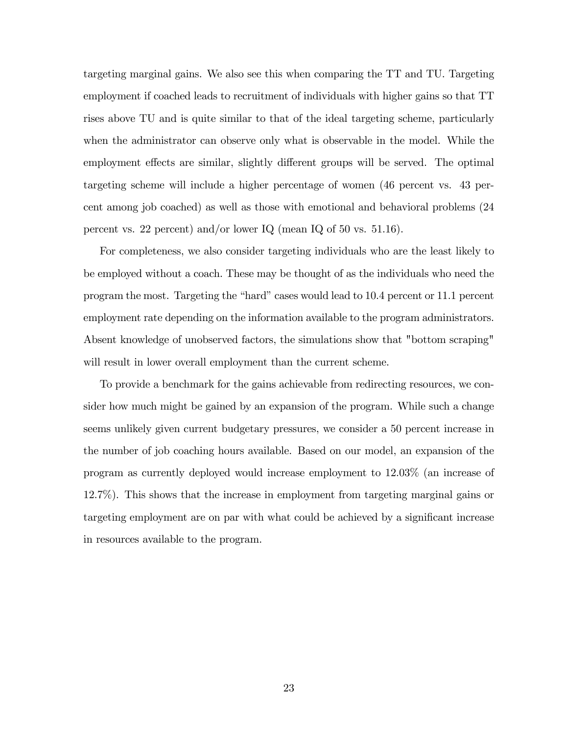targeting marginal gains. We also see this when comparing the TT and TU. Targeting employment if coached leads to recruitment of individuals with higher gains so that TT rises above TU and is quite similar to that of the ideal targeting scheme, particularly when the administrator can observe only what is observable in the model. While the employment effects are similar, slightly different groups will be served. The optimal targeting scheme will include a higher percentage of women (46 percent vs. 43 percent among job coached) as well as those with emotional and behavioral problems (24 percent vs. 22 percent) and/or lower IQ (mean IQ of 50 vs. 51.16).

For completeness, we also consider targeting individuals who are the least likely to be employed without a coach. These may be thought of as the individuals who need the program the most. Targeting the "hard" cases would lead to 10.4 percent or 11.1 percent employment rate depending on the information available to the program administrators. Absent knowledge of unobserved factors, the simulations show that "bottom scraping" will result in lower overall employment than the current scheme.

To provide a benchmark for the gains achievable from redirecting resources, we consider how much might be gained by an expansion of the program. While such a change seems unlikely given current budgetary pressures, we consider a 50 percent increase in the number of job coaching hours available. Based on our model, an expansion of the program as currently deployed would increase employment to 12.03% (an increase of 12.7%). This shows that the increase in employment from targeting marginal gains or targeting employment are on par with what could be achieved by a significant increase in resources available to the program.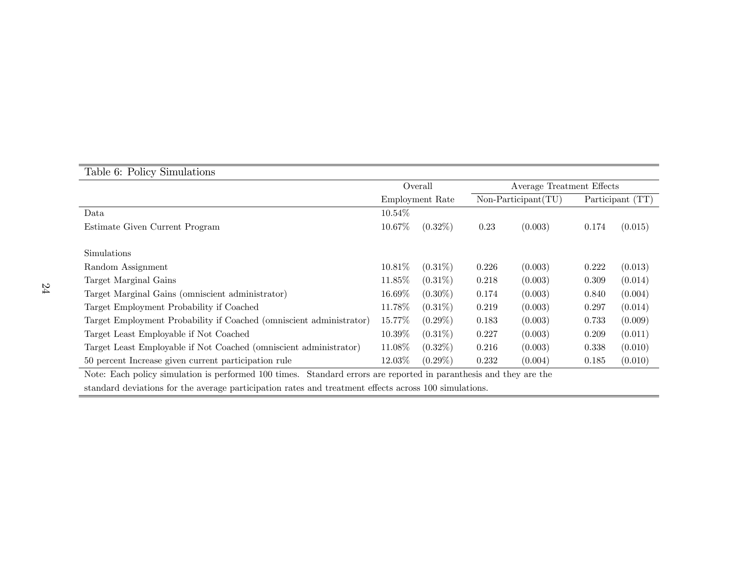| Table 6: Policy Simulations                                         |           |                 |       |                           |       |                  |  |
|---------------------------------------------------------------------|-----------|-----------------|-------|---------------------------|-------|------------------|--|
|                                                                     | Overall   |                 |       | Average Treatment Effects |       |                  |  |
|                                                                     |           | Employment Rate |       | $Non-Participant(TU)$     |       | Participant (TT) |  |
| Data                                                                | $10.54\%$ |                 |       |                           |       |                  |  |
| Estimate Given Current Program                                      | 10.67%    | $(0.32\%)$      | 0.23  | (0.003)                   | 0.174 | (0.015)          |  |
|                                                                     |           |                 |       |                           |       |                  |  |
| Simulations                                                         |           |                 |       |                           |       |                  |  |
| Random Assignment                                                   | 10.81\%   | $(0.31\%)$      | 0.226 | (0.003)                   | 0.222 | (0.013)          |  |
| Target Marginal Gains                                               | $11.85\%$ | $(0.31\%)$      | 0.218 | (0.003)                   | 0.309 | (0.014)          |  |
| Target Marginal Gains (omniscient administrator)                    | 16.69%    | $(0.30\%)$      | 0.174 | (0.003)                   | 0.840 | (0.004)          |  |
| Target Employment Probability if Coached                            | 11.78%    | $(0.31\%)$      | 0.219 | (0.003)                   | 0.297 | (0.014)          |  |
| Target Employment Probability if Coached (omniscient administrator) | 15.77%    | $(0.29\%)$      | 0.183 | (0.003)                   | 0.733 | (0.009)          |  |
| Target Least Employable if Not Coached                              | 10.39%    | $(0.31\%)$      | 0.227 | (0.003)                   | 0.209 | (0.011)          |  |
| Target Least Employable if Not Coached (omniscient administrator)   | 11.08%    | $(0.32\%)$      | 0.216 | (0.003)                   | 0.338 | (0.010)          |  |
| 50 percent Increase given current participation rule                | 12.03%    | $(0.29\%)$      | 0.232 | (0.004)                   | 0.185 | (0.010)          |  |
|                                                                     |           |                 |       |                           |       |                  |  |

Note: Each policy simulation is performed <sup>100</sup> times. Standard errors are reported in paranthesis and they are the

standard deviations for the average participation rates and treatment effects across  $100$  simulations.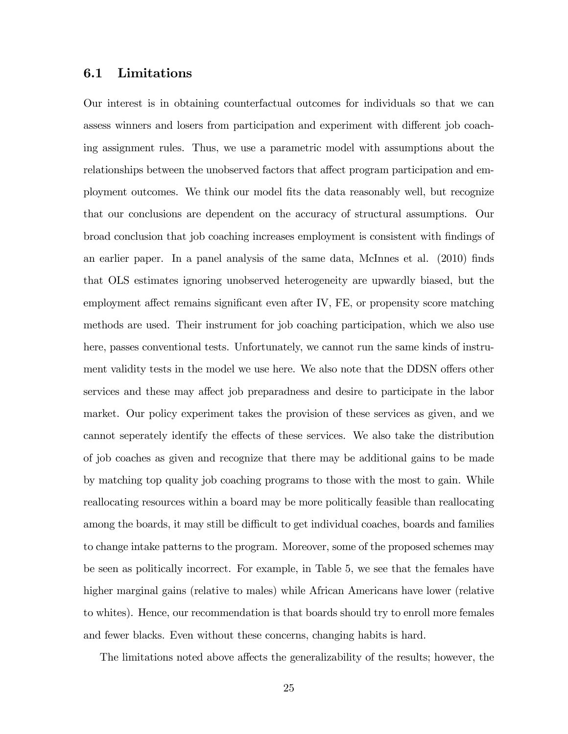#### 6.1 Limitations

Our interest is in obtaining counterfactual outcomes for individuals so that we can assess winners and losers from participation and experiment with different job coaching assignment rules. Thus, we use a parametric model with assumptions about the relationships between the unobserved factors that affect program participation and employment outcomes. We think our model Öts the data reasonably well, but recognize that our conclusions are dependent on the accuracy of structural assumptions. Our broad conclusion that job coaching increases employment is consistent with Öndings of an earlier paper. In a panel analysis of the same data, McInnes et al. (2010) finds that OLS estimates ignoring unobserved heterogeneity are upwardly biased, but the employment affect remains significant even after IV, FE, or propensity score matching methods are used. Their instrument for job coaching participation, which we also use here, passes conventional tests. Unfortunately, we cannot run the same kinds of instrument validity tests in the model we use here. We also note that the DDSN offers other services and these may affect job preparadness and desire to participate in the labor market. Our policy experiment takes the provision of these services as given, and we cannot seperately identify the effects of these services. We also take the distribution of job coaches as given and recognize that there may be additional gains to be made by matching top quality job coaching programs to those with the most to gain. While reallocating resources within a board may be more politically feasible than reallocating among the boards, it may still be difficult to get individual coaches, boards and families to change intake patterns to the program. Moreover, some of the proposed schemes may be seen as politically incorrect. For example, in Table 5, we see that the females have higher marginal gains (relative to males) while African Americans have lower (relative to whites). Hence, our recommendation is that boards should try to enroll more females and fewer blacks. Even without these concerns, changing habits is hard.

The limitations noted above affects the generalizability of the results; however, the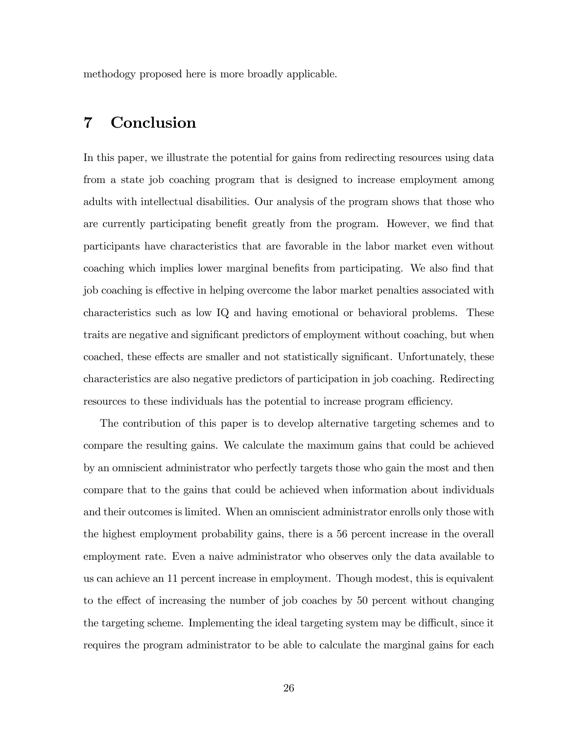methodogy proposed here is more broadly applicable.

## 7 Conclusion

In this paper, we illustrate the potential for gains from redirecting resources using data from a state job coaching program that is designed to increase employment among adults with intellectual disabilities. Our analysis of the program shows that those who are currently participating benefit greatly from the program. However, we find that participants have characteristics that are favorable in the labor market even without coaching which implies lower marginal benefits from participating. We also find that job coaching is effective in helping overcome the labor market penalties associated with characteristics such as low IQ and having emotional or behavioral problems. These traits are negative and significant predictors of employment without coaching, but when coached, these effects are smaller and not statistically significant. Unfortunately, these characteristics are also negative predictors of participation in job coaching. Redirecting resources to these individuals has the potential to increase program efficiency.

The contribution of this paper is to develop alternative targeting schemes and to compare the resulting gains. We calculate the maximum gains that could be achieved by an omniscient administrator who perfectly targets those who gain the most and then compare that to the gains that could be achieved when information about individuals and their outcomes is limited. When an omniscient administrator enrolls only those with the highest employment probability gains, there is a 56 percent increase in the overall employment rate. Even a naive administrator who observes only the data available to us can achieve an 11 percent increase in employment. Though modest, this is equivalent to the effect of increasing the number of job coaches by 50 percent without changing the targeting scheme. Implementing the ideal targeting system may be difficult, since it requires the program administrator to be able to calculate the marginal gains for each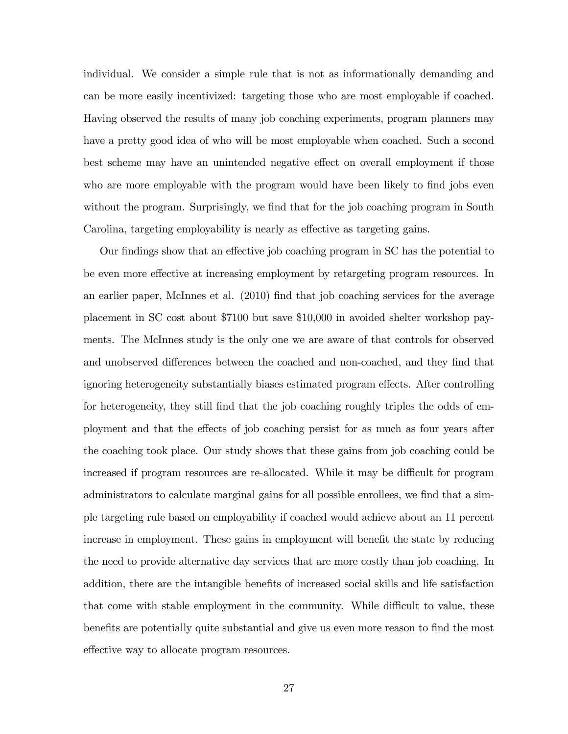individual. We consider a simple rule that is not as informationally demanding and can be more easily incentivized: targeting those who are most employable if coached. Having observed the results of many job coaching experiments, program planners may have a pretty good idea of who will be most employable when coached. Such a second best scheme may have an unintended negative effect on overall employment if those who are more employable with the program would have been likely to find jobs even without the program. Surprisingly, we find that for the job coaching program in South Carolina, targeting employability is nearly as effective as targeting gains.

Our findings show that an effective job coaching program in SC has the potential to be even more effective at increasing employment by retargeting program resources. In an earlier paper, McInnes et al. (2010) find that job coaching services for the average placement in SC cost about \$7100 but save \$10,000 in avoided shelter workshop payments. The McInnes study is the only one we are aware of that controls for observed and unobserved differences between the coached and non-coached, and they find that ignoring heterogeneity substantially biases estimated program effects. After controlling for heterogeneity, they still find that the job coaching roughly triples the odds of employment and that the effects of job coaching persist for as much as four years after the coaching took place. Our study shows that these gains from job coaching could be increased if program resources are re-allocated. While it may be difficult for program administrators to calculate marginal gains for all possible enrollees, we find that a simple targeting rule based on employability if coached would achieve about an 11 percent increase in employment. These gains in employment will benefit the state by reducing the need to provide alternative day services that are more costly than job coaching. In addition, there are the intangible benefits of increased social skills and life satisfaction that come with stable employment in the community. While difficult to value, these benefits are potentially quite substantial and give us even more reason to find the most effective way to allocate program resources.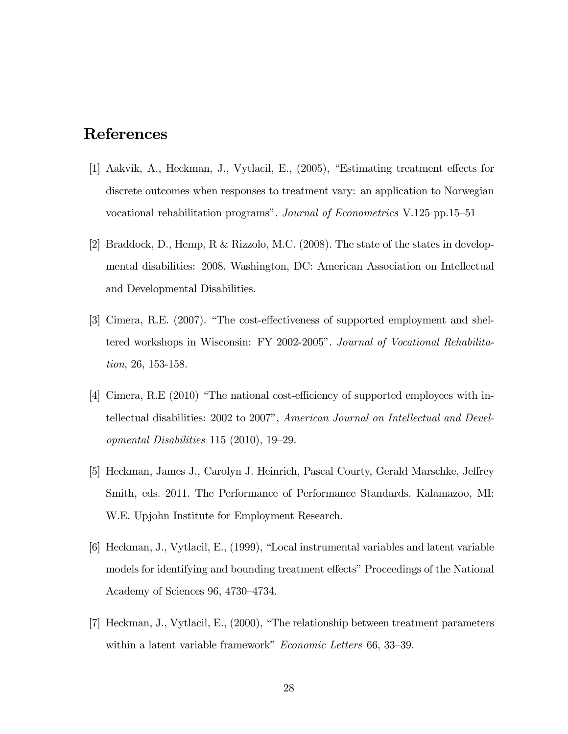## References

- [1] Aakvik, A., Heckman, J., Vytlacil, E.,  $(2005)$ , "Estimating treatment effects for discrete outcomes when responses to treatment vary: an application to Norwegian vocational rehabilitation programs", Journal of Econometrics V.125 pp.15-51
- [2] Braddock, D., Hemp, R & Rizzolo, M.C. (2008). The state of the states in developmental disabilities: 2008. Washington, DC: American Association on Intellectual and Developmental Disabilities.
- [3] Cimera, R.E.  $(2007)$ . "The cost-effectiveness of supported employment and sheltered workshops in Wisconsin: FY 2002-2005". Journal of Vocational Rehabilitation, 26, 153-158.
- [4] Cimera, R.E (2010) "The national cost-efficiency of supported employees with intellectual disabilities: 2002 to 2007", American Journal on Intellectual and Developmental Disabilities  $115$  (2010), 19–29.
- [5] Heckman, James J., Carolyn J. Heinrich, Pascal Courty, Gerald Marschke, Jeffrey Smith, eds. 2011. The Performance of Performance Standards. Kalamazoo, MI: W.E. Upjohn Institute for Employment Research.
- $[6]$  Heckman, J., Vytlacil, E.,  $(1999)$ , "Local instrumental variables and latent variable models for identifying and bounding treatment effects" Proceedings of the National Academy of Sciences  $96, 4730 - 4734$ .
- [7] Heckman, J., Vytlacil, E., (2000), "The relationship between treatment parameters within a latent variable framework" *Economic Letters* 66,  $33-39$ .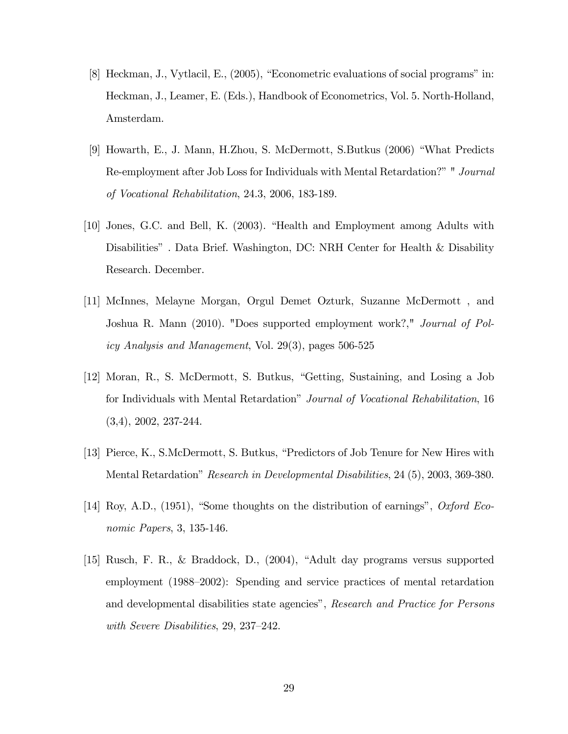- [8] Heckman, J., Vytlacil, E.,  $(2005)$ , "Econometric evaluations of social programs" in: Heckman, J., Leamer, E. (Eds.), Handbook of Econometrics, Vol. 5. North-Holland, Amsterdam.
- [9] Howarth, E., J. Mann, H.Zhou, S. McDermott, S.Butkus (2006) "What Predicts Re-employment after Job Loss for Individuals with Mental Retardation?" " Journal of Vocational Rehabilitation, 24.3, 2006, 183-189.
- [10] Jones, G.C. and Bell, K. (2003). "Health and Employment among Adults with Disabilities". Data Brief. Washington, DC: NRH Center for Health & Disability Research. December.
- [11] McInnes, Melayne Morgan, Orgul Demet Ozturk, Suzanne McDermott , and Joshua R. Mann (2010). "Does supported employment work?," Journal of Policy Analysis and Management, Vol. 29(3), pages 506-525
- [12] Moran, R., S. McDermott, S. Butkus, "Getting, Sustaining, and Losing a Job for Individuals with Mental Retardationî Journal of Vocational Rehabilitation, 16 (3,4), 2002, 237-244.
- [13] Pierce, K., S.McDermott, S. Butkus, "Predictors of Job Tenure for New Hires with Mental Retardation" Research in Developmental Disabilities, 24 (5), 2003, 369-380.
- [14] Roy, A.D., (1951), "Some thoughts on the distribution of earnings", Oxford Economic Papers, 3, 135-146.
- [15] Rusch, F. R., & Braddock, D.,  $(2004)$ , "Adult day programs versus supported employment (1988–2002): Spending and service practices of mental retardation and developmental disabilities state agencies", Research and Practice for Persons with Severe Disabilities,  $29, 237-242$ .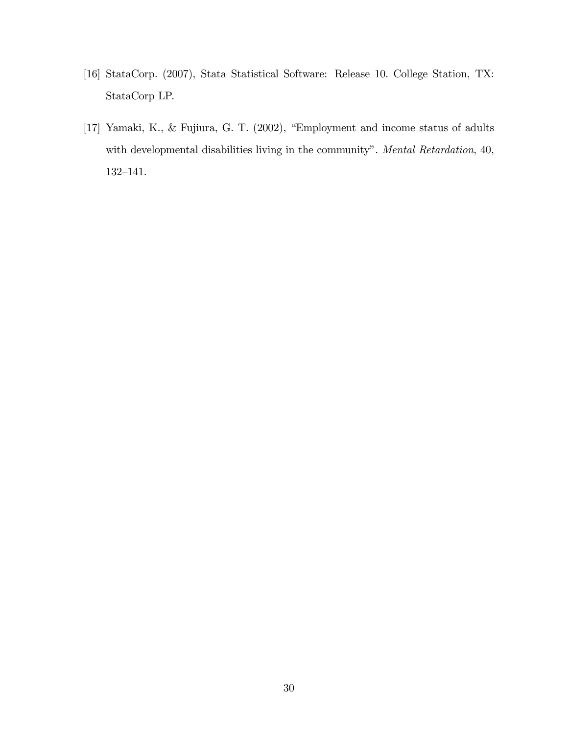- [16] StataCorp. (2007), Stata Statistical Software: Release 10. College Station, TX: StataCorp LP.
- $[17]$  Yamaki, K., & Fujiura, G. T.  $(2002)$ , "Employment and income status of adults with developmental disabilities living in the community". Mental Retardation, 40,  $132 - 141.$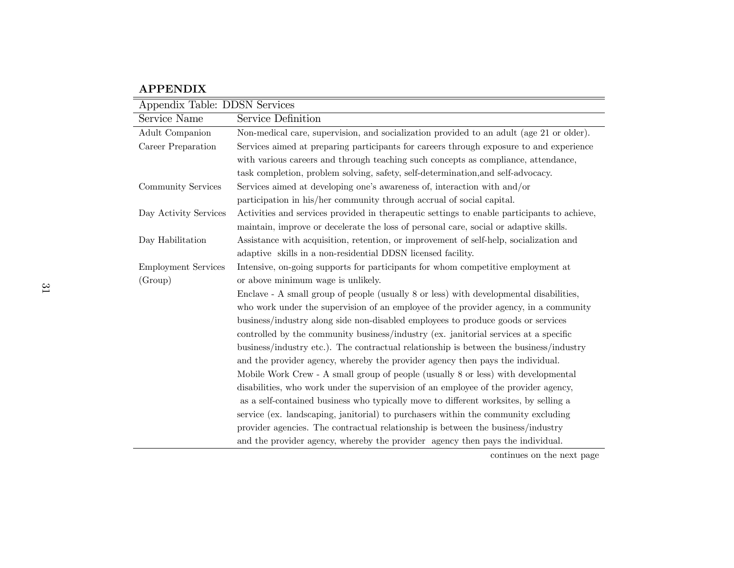### APPENDIX

| Appendix Table: DDSN Services |                                                                                              |
|-------------------------------|----------------------------------------------------------------------------------------------|
| Service Name                  | Service Definition                                                                           |
| Adult Companion               | Non-medical care, supervision, and socialization provided to an adult (age 21 or older).     |
| Career Preparation            | Services aimed at preparing participants for careers through exposure to and experience      |
|                               | with various careers and through teaching such concepts as compliance, attendance,           |
|                               | task completion, problem solving, safety, self-determination, and self-advocacy.             |
| <b>Community Services</b>     | Services aimed at developing one's awareness of, interaction with and/or                     |
|                               | participation in his/her community through accrual of social capital.                        |
| Day Activity Services         | Activities and services provided in the rapeutic settings to enable participants to achieve, |
|                               | maintain, improve or decelerate the loss of personal care, social or adaptive skills.        |
| Day Habilitation              | Assistance with acquisition, retention, or improvement of self-help, socialization and       |
|                               | adaptive skills in a non-residential DDSN licensed facility.                                 |
| <b>Employment Services</b>    | Intensive, on-going supports for participants for whom competitive employment at             |
| (Group)                       | or above minimum wage is unlikely.                                                           |
|                               | Enclave - A small group of people (usually 8 or less) with developmental disabilities,       |
|                               | who work under the supervision of an employee of the provider agency, in a community         |
|                               | business/industry along side non-disabled employees to produce goods or services             |
|                               | controlled by the community business/industry (ex. janitorial services at a specific         |
|                               | business/industry etc.). The contractual relationship is between the business/industry       |
|                               | and the provider agency, whereby the provider agency then pays the individual.               |
|                               | Mobile Work Crew - A small group of people (usually 8 or less) with developmental            |
|                               | disabilities, who work under the supervision of an employee of the provider agency,          |
|                               | as a self-contained business who typically move to different worksites, by selling a         |
|                               | service (ex. landscaping, janitorial) to purchasers within the community excluding           |
|                               | provider agencies. The contractual relationship is between the business/industry             |
|                               | and the provider agency, whereby the provider agency then pays the individual.               |

continues on the next page